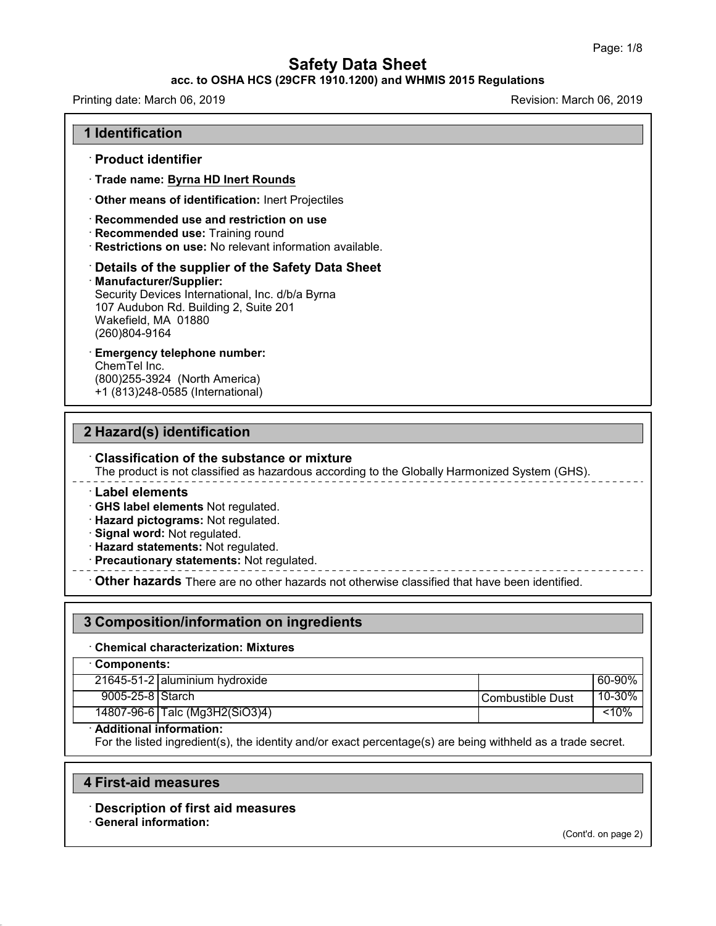### **acc. to OSHA HCS (29CFR 1910.1200) and WHMIS 2015 Regulations**

Printing date: March 06, 2019 **Printing date: March 06, 2019** Revision: March 06, 2019

#### **1 Identification**

#### · **Product identifier**

· **Trade name: Byrna HD Inert Rounds**

· **Other means of identification:** Inert Projectiles

#### · **Recommended use and restriction on use**

- · **Recommended use:** Training round
- · **Restrictions on use:** No relevant information available.

# · **Details of the supplier of the Safety Data Sheet**

· **Manufacturer/Supplier:** Security Devices International, Inc. d/b/a Byrna 107 Audubon Rd. Building 2, Suite 201

Wakefield, MA 01880 (260)804-9164

# · **Emergency telephone number:**

ChemTel Inc. (800)255-3924 (North America) +1 (813)248-0585 (International)

## **2 Hazard(s) identification**

### · **Classification of the substance or mixture**

The product is not classified as hazardous according to the Globally Harmonized System (GHS).

#### · **Label elements**

· **GHS label elements** Not regulated.

- · **Hazard pictograms:** Not regulated.
- · **Signal word:** Not regulated.
- · **Hazard statements:** Not regulated.
- · **Precautionary statements:** Not regulated.

· **Other hazards** There are no other hazards nototherwise classified that have been identified.

| 3 Composition/information on ingredients   |                                |                  |        |  |  |
|--------------------------------------------|--------------------------------|------------------|--------|--|--|
| <b>Chemical characterization: Mixtures</b> |                                |                  |        |  |  |
| <b>⋅Components:</b>                        |                                |                  |        |  |  |
|                                            | 21645-51-2 aluminium hydroxide |                  | 60-90% |  |  |
| 9005-25-8 Starch                           |                                | Combustible Dust | 10-30% |  |  |
|                                            | 14807-96-6 Talc (Mg3H2(SiO3)4) |                  | < 10%  |  |  |

#### · **Additional information:**

For the listed ingredient(s), the identity and/or exact percentage(s) are being withheld as a trade secret.

#### **4 First-aid measures**

· **Description of first aid measures**

#### · **General information:**

48.0

(Cont'd. on page 2)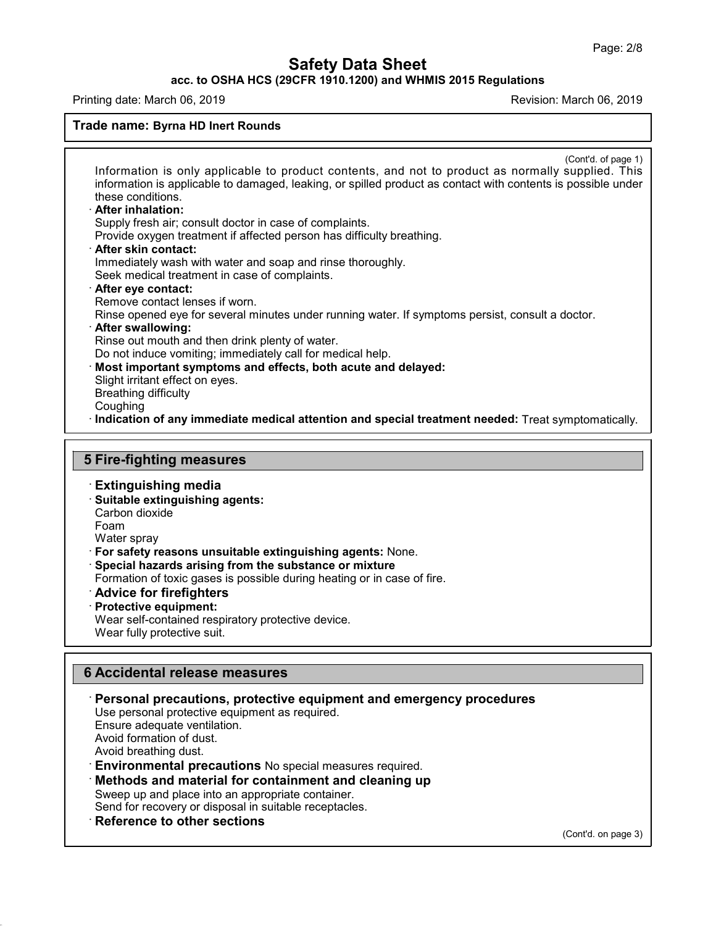**acc. to OSHA HCS (29CFR 1910.1200) and WHMIS 2015 Regulations**

Printing date: March 06, 2019 **Printing date: March 06, 2019** Revision: March 06, 2019

#### **Trade name: Byrna HD Inert Rounds**

(Cont'd. of page 1) Information is only applicable to product contents, and not to product as normally supplied. This information is applicable to damaged, leaking, or spilled product as contact with contents is possible under these conditions. · **After inhalation:** Supply fresh air; consult doctor in case of complaints. Provide oxygen treatment if affected person has difficulty breathing. · **After skin contact:** Immediately wash with water and soap and rinse thoroughly. Seek medical treatment in case of complaints. · **After eye contact:** Remove contact lenses if worn. Rinse opened eye for several minutes under running water. If symptoms persist, consult a doctor. · **After swallowing:** Rinse out mouth and then drink plenty of water. Do not induce vomiting; immediately call for medical help. · **Most important symptoms and effects, both acute and delayed:** Slight irritant effect on eyes. Breathing difficulty Coughing · **Indication of any immediate medical attention and special treatment needed:** Treat symptomatically.

## **5 Fire-fighting measures**

· **Extinguishing media**

· **Suitable extinguishing agents:** Carbon dioxide

Foam

48.0

Water spray

- · **For safety reasons unsuitable extinguishing agents:** None.
- · **Special hazards arising from the substance or mixture**
- Formation of toxic gases is possible during heating or in case of fire.
- · **Advice for firefighters**
- · **Protective equipment:**

Wear self-contained respiratory protective device.

Wear fully protective suit.

## **6 Accidental release measures**

- · **Personal precautions, protective equipment and emergency procedures** Use personal protective equipment as required. Ensure adequate ventilation. Avoid formation of dust. Avoid breathing dust. · **Environmental precautions** No special measures required. · **Methods and material for containment and cleaning up** Sweep up and place into an appropriate container. Send for recovery or disposal in suitable receptacles.
- · **Reference to other sections**

(Cont'd. on page 3)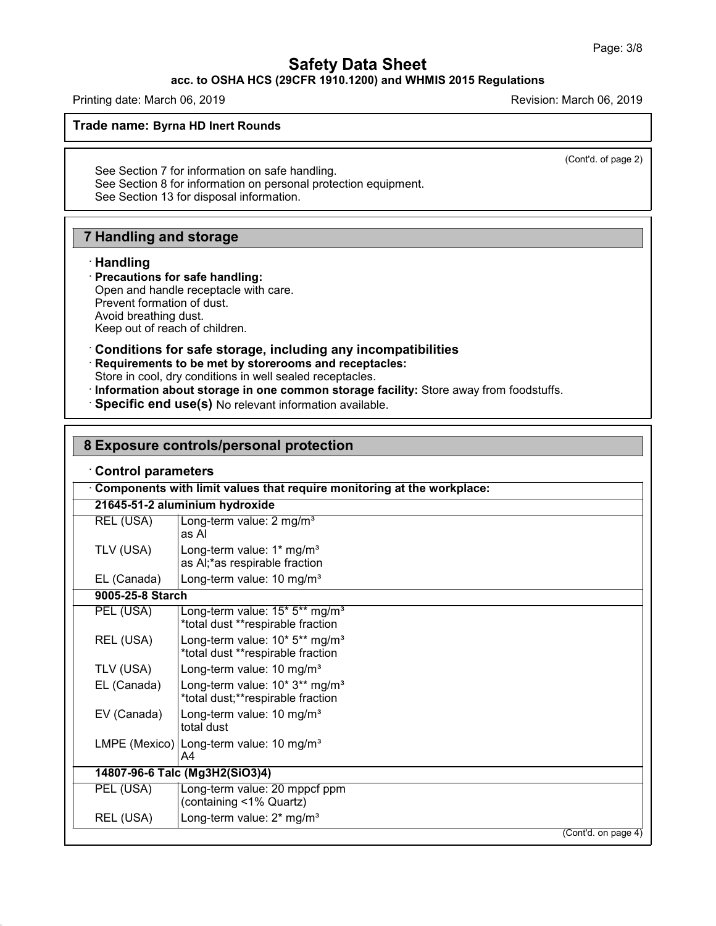## **acc. to OSHA HCS (29CFR 1910.1200) and WHMIS 2015 Regulations**

Printing date: March 06, 2019 **Printing date: March 06, 2019** Revision: March 06, 2019

**Trade name: Byrna HD Inert Rounds**

(Cont'd. of page 2)

See Section 7 for information on safe handling. See Section 8 for information on personal protection equipment. See Section 13 for disposal information.

# **7 Handling and storage**

### · **Handling**

48.0

#### · **Precautions for safe handling:** Open and handle receptacle with care. Prevent formation of dust. Avoid breathing dust. Keep out of reach of children.

### · **Conditions for safe storage, including any incompatibilities**

· **Requirements to be met by storerooms and receptacles:**

Store in cool, dry conditions in well sealed receptacles.

- · **Information about storage in one common storage facility:** Store away from foodstuffs.
- · **Specific end use(s)** No relevant information available.

## **8 Exposure controls/personal protection**

| Components with limit values that require monitoring at the workplace: |                                                                                 |  |  |  |  |
|------------------------------------------------------------------------|---------------------------------------------------------------------------------|--|--|--|--|
| 21645-51-2 aluminium hydroxide                                         |                                                                                 |  |  |  |  |
| REL (USA)                                                              | Long-term value: 2 mg/m <sup>3</sup><br>as Al                                   |  |  |  |  |
| TLV (USA)                                                              | Long-term value: 1* mg/m <sup>3</sup><br>as AI;*as respirable fraction          |  |  |  |  |
| EL (Canada)                                                            | Long-term value: 10 mg/m <sup>3</sup>                                           |  |  |  |  |
| 9005-25-8 Starch                                                       |                                                                                 |  |  |  |  |
| PEL (USA)                                                              | Long-term value: 15* 5** mg/m <sup>3</sup><br>*total dust **respirable fraction |  |  |  |  |
| REL (USA)                                                              | Long-term value: 10* 5** mg/m <sup>3</sup><br>*total dust **respirable fraction |  |  |  |  |
| TLV (USA)                                                              | Long-term value: 10 mg/m <sup>3</sup>                                           |  |  |  |  |
| EL (Canada)                                                            | Long-term value: 10* 3** mg/m <sup>3</sup><br>*total dust;**respirable fraction |  |  |  |  |
| EV (Canada)                                                            | Long-term value: 10 mg/m <sup>3</sup><br>total dust                             |  |  |  |  |
|                                                                        | LMPE (Mexico) Long-term value: 10 mg/m <sup>3</sup><br>A4                       |  |  |  |  |
|                                                                        | 14807-96-6 Talc (Mg3H2(SiO3)4)                                                  |  |  |  |  |
| PEL (USA)                                                              | Long-term value: 20 mppcf ppm<br>(containing <1% Quartz)                        |  |  |  |  |
| REL (USA)                                                              | Long-term value: 2* mg/m <sup>3</sup>                                           |  |  |  |  |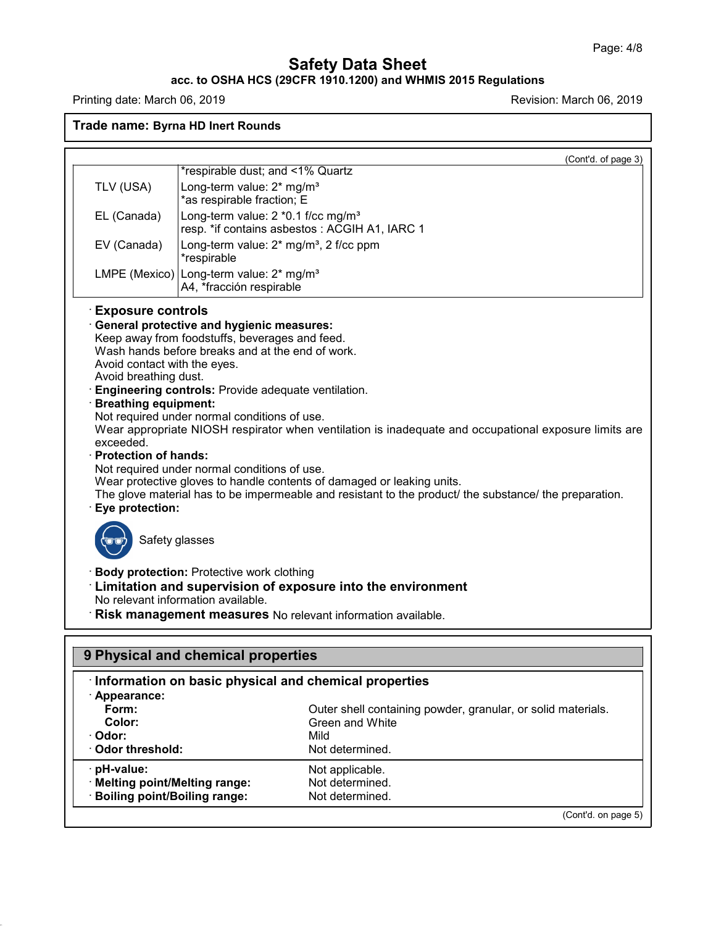### **acc. to OSHA HCS (29CFR 1910.1200) and WHMIS 2015 Regulations**

Printing date: March 06, 2019 **Printing date: March 06, 2019** 

48.0

**Trade name: Byrna HD Inert Rounds**

(Cont'd. on page 5)

|                                                                                                                                                                                                             | *respirable dust; and <1% Quartz                                                                                                                                                                                                                                                                                                                                  | (Cont'd. of page 3)                                                                                                                                                                                                                                                                                                                                                                                                     |  |  |
|-------------------------------------------------------------------------------------------------------------------------------------------------------------------------------------------------------------|-------------------------------------------------------------------------------------------------------------------------------------------------------------------------------------------------------------------------------------------------------------------------------------------------------------------------------------------------------------------|-------------------------------------------------------------------------------------------------------------------------------------------------------------------------------------------------------------------------------------------------------------------------------------------------------------------------------------------------------------------------------------------------------------------------|--|--|
| TLV (USA)                                                                                                                                                                                                   | Long-term value: 2* mg/m <sup>3</sup><br>*as respirable fraction; E                                                                                                                                                                                                                                                                                               |                                                                                                                                                                                                                                                                                                                                                                                                                         |  |  |
| EL (Canada)                                                                                                                                                                                                 | Long-term value: 2 *0.1 f/cc mg/m <sup>3</sup>                                                                                                                                                                                                                                                                                                                    | resp. *if contains asbestos: ACGIH A1, IARC 1                                                                                                                                                                                                                                                                                                                                                                           |  |  |
| EV (Canada)                                                                                                                                                                                                 | Long-term value: 2* mg/m <sup>3</sup> , 2 f/cc ppm<br>*respirable                                                                                                                                                                                                                                                                                                 |                                                                                                                                                                                                                                                                                                                                                                                                                         |  |  |
|                                                                                                                                                                                                             | LMPE (Mexico) Long-term value: 2* mg/m <sup>3</sup><br>A4, *fracción respirable                                                                                                                                                                                                                                                                                   |                                                                                                                                                                                                                                                                                                                                                                                                                         |  |  |
| Avoid contact with the eyes.<br>Avoid breathing dust.<br><b>Breathing equipment:</b><br>exceeded.<br><b>Protection of hands:</b><br>Eye protection:<br>Safety glasses<br>No relevant information available. | <b>General protective and hygienic measures:</b><br>Keep away from foodstuffs, beverages and feed.<br>Wash hands before breaks and at the end of work.<br>Engineering controls: Provide adequate ventilation.<br>Not required under normal conditions of use.<br>Not required under normal conditions of use.<br><b>Body protection: Protective work clothing</b> | Wear appropriate NIOSH respirator when ventilation is inadequate and occupational exposure limits are<br>Wear protective gloves to handle contents of damaged or leaking units.<br>The glove material has to be impermeable and resistant to the product/ the substance/ the preparation.<br>Limitation and supervision of exposure into the environment<br>Risk management measures No relevant information available. |  |  |
|                                                                                                                                                                                                             | 9 Physical and chemical properties                                                                                                                                                                                                                                                                                                                                |                                                                                                                                                                                                                                                                                                                                                                                                                         |  |  |
| · Appearance:                                                                                                                                                                                               |                                                                                                                                                                                                                                                                                                                                                                   | Information on basic physical and chemical properties                                                                                                                                                                                                                                                                                                                                                                   |  |  |
| Form:<br>Color:                                                                                                                                                                                             |                                                                                                                                                                                                                                                                                                                                                                   | Outer shell containing powder, granular, or solid materials.<br>Green and White                                                                                                                                                                                                                                                                                                                                         |  |  |
| · Odor:                                                                                                                                                                                                     |                                                                                                                                                                                                                                                                                                                                                                   | Mild                                                                                                                                                                                                                                                                                                                                                                                                                    |  |  |
| Odor threshold:                                                                                                                                                                                             |                                                                                                                                                                                                                                                                                                                                                                   | Not determined.                                                                                                                                                                                                                                                                                                                                                                                                         |  |  |
| pH-value:                                                                                                                                                                                                   |                                                                                                                                                                                                                                                                                                                                                                   | Not applicable.                                                                                                                                                                                                                                                                                                                                                                                                         |  |  |
| · Melting point/Melting range:                                                                                                                                                                              |                                                                                                                                                                                                                                                                                                                                                                   | Not determined.                                                                                                                                                                                                                                                                                                                                                                                                         |  |  |
| <b>Boiling point/Boiling range:</b>                                                                                                                                                                         |                                                                                                                                                                                                                                                                                                                                                                   | Not determined.                                                                                                                                                                                                                                                                                                                                                                                                         |  |  |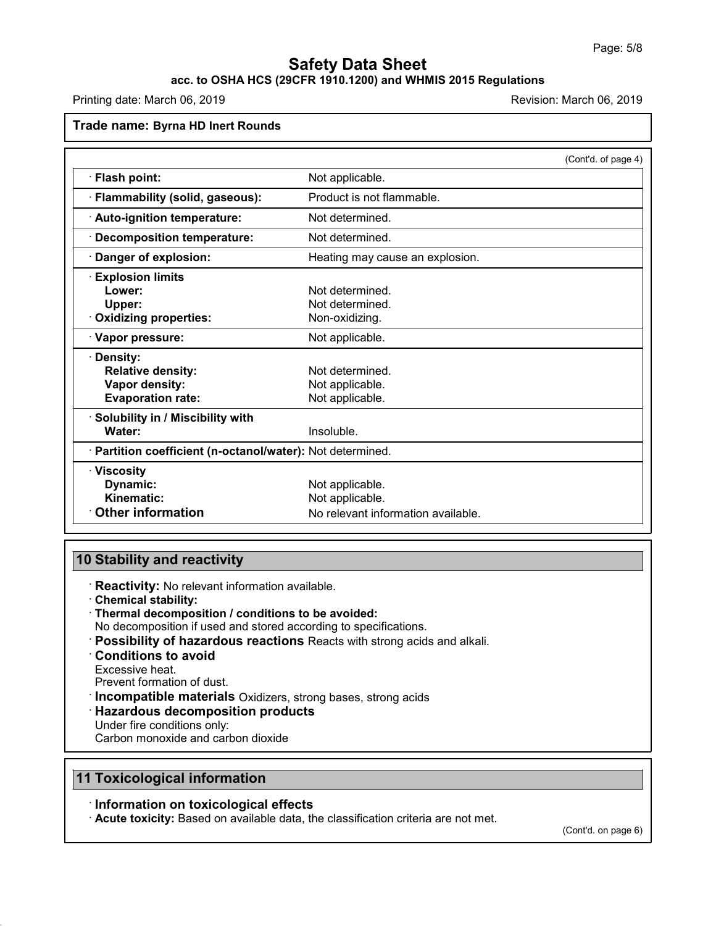# **acc. to OSHA HCS (29CFR 1910.1200) and WHMIS 2015 Regulations**

Printing date: March 06, 2019 **Printing date: March 06, 2019** Revision: March 06, 2019

#### **Trade name: Byrna HD Inert Rounds**

|                                                            |                                    | (Cont'd. of page 4) |
|------------------------------------------------------------|------------------------------------|---------------------|
| Flash point:                                               | Not applicable.                    |                     |
| · Flammability (solid, gaseous):                           | Product is not flammable.          |                     |
| · Auto-ignition temperature:                               | Not determined.                    |                     |
| <b>Decomposition temperature:</b>                          | Not determined.                    |                     |
| Danger of explosion:                                       | Heating may cause an explosion.    |                     |
| <b>Explosion limits</b>                                    |                                    |                     |
| Lower:                                                     | Not determined.                    |                     |
| Upper:                                                     | Not determined.                    |                     |
| <b>Oxidizing properties:</b>                               | Non-oxidizing.                     |                     |
| · Vapor pressure:                                          | Not applicable.                    |                     |
| <b>Density:</b>                                            |                                    |                     |
| <b>Relative density:</b>                                   | Not determined.                    |                     |
| Vapor density:                                             | Not applicable.                    |                     |
| <b>Evaporation rate:</b>                                   | Not applicable.                    |                     |
| Solubility in / Miscibility with                           |                                    |                     |
| Water:                                                     | Insoluble.                         |                     |
| · Partition coefficient (n-octanol/water): Not determined. |                                    |                     |
| $\cdot$ Viscosity                                          |                                    |                     |
| Dynamic:                                                   | Not applicable.                    |                     |
| Kinematic:                                                 | Not applicable.                    |                     |
| <b>Other information</b>                                   | No relevant information available. |                     |

## **10 Stability and reactivity**

· **Reactivity:** No relevant information available.

- · **Chemical stability:**
- · **Thermal decomposition / conditions to be avoided:**
- No decomposition if used and stored according to specifications.
- · **Possibility of hazardous reactions** Reacts with strong acids and alkali.
- · **Conditions to avoid**
- Excessive heat.

48.0

Prevent formation of dust.

· **Incompatible materials** Oxidizers, strong bases, strong acids

- · **Hazardous decomposition products**
- Under fire conditions only:

Carbon monoxide and carbon dioxide

# **11 Toxicological information**

## · **Information on toxicological effects**

· **Acute toxicity:** Based on available data, the classification criteria are not met.

(Cont'd. on page 6)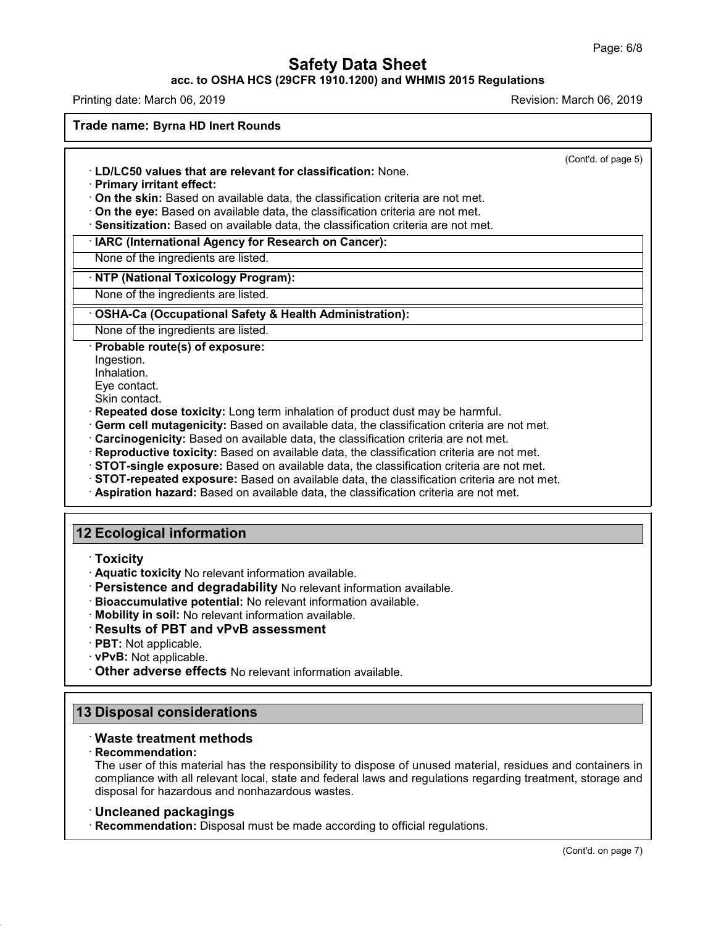### **acc. to OSHA HCS (29CFR 1910.1200) and WHMIS 2015 Regulations**

Printing date: March 06, 2019 **Printing date: March 06, 2019** Revision: March 06, 2019

**Trade name: Byrna HD Inert Rounds**

(Cont'd. of page 5)

- · **LD/LC50 values that are relevant for classification:** None.
- · **Primary irritant effect:**
- · **On the skin:** Based on available data, the classification criteria are not met.

· **On the eye:** Based on available data, the classification criteria are not met.

· **Sensitization:** Based on available data, the classification criteria are not met.

#### · **IARC (International Agency for Research on Cancer):**

None of the ingredients are listed.

### · **NTP (National Toxicology Program):**

None of the ingredients are listed.

### · **OSHA-Ca (Occupational Safety & Health Administration):**

None of the ingredients are listed.

#### · **Probable route(s) of exposure:**

Ingestion.

Inhalation.

Eye contact.

Skin contact.

- · **Repeated dose toxicity:** Long term inhalation of product dust may be harmful.
- · **Germ cell mutagenicity:** Based on available data, the classification criteria are not met.
- · **Carcinogenicity:** Based on available data, the classification criteria are not met.
- · **Reproductive toxicity:** Based on available data, the classification criteria are not met.
- · **STOT-single exposure:** Based on available data, the classification criteria are not met.
- · **STOT-repeated exposure:** Based on available data, the classification criteria are not met.
- · **Aspiration hazard:** Based on available data, the classification criteria are not met.

# **12 Ecological information**

- · **Toxicity**
- · **Aquatic toxicity** No relevant information available.
- · **Persistence and degradability** No relevant information available.
- · **Bioaccumulative potential:** No relevant information available.
- · **Mobility in soil:** No relevant information available.
- · **Results of PBT and vPvB assessment**
- · **PBT:** Not applicable.
- · **vPvB:** Not applicable.
- · **Other adverse effects** No relevant information available.

## **13 Disposal considerations**

## · **Waste treatment methods**

#### · **Recommendation:**

48.0

The user of this material has the responsibility to dispose of unused material, residues and containers in compliance with all relevant local, state and federal laws and regulations regarding treatment, storage and disposal for hazardous and nonhazardous wastes.

## · **Uncleaned packagings**

· **Recommendation:** Disposal must be made according to official regulations.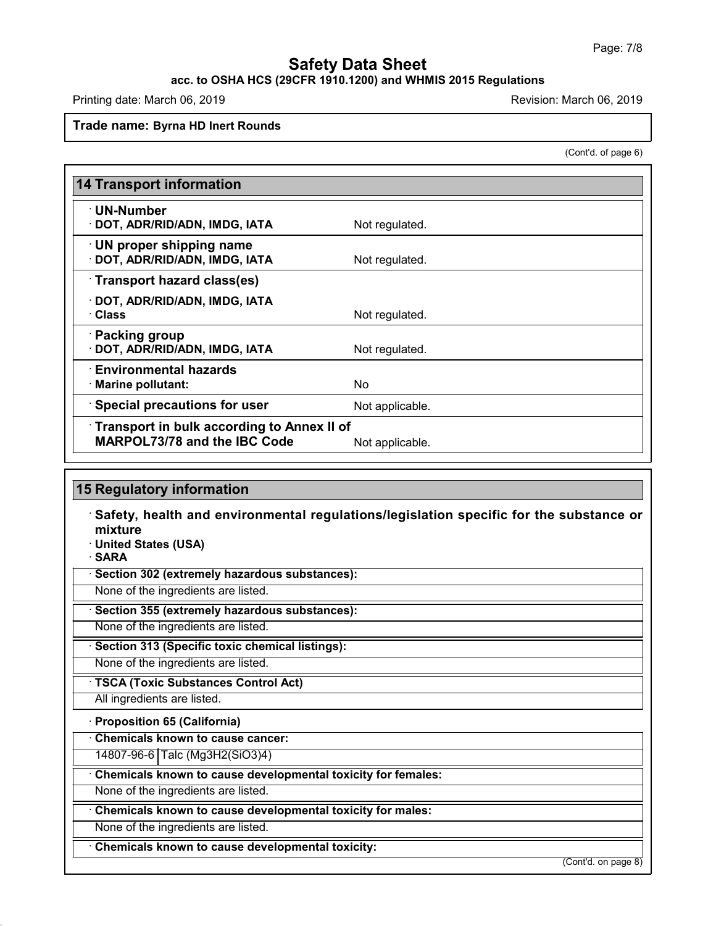# **acc. to OSHA HCS (29CFR 1910.1200) and WHMIS 2015 Regulations**

Printing date: March 06, 2019 **Printing date: March 06, 2019** Revision: March 06, 2019

#### **Trade name: Byrna HD Inert Rounds**

(Cont'd. of page 6)

| <b>14 Transport information</b>                                                                      |                 |  |  |  |
|------------------------------------------------------------------------------------------------------|-----------------|--|--|--|
| · UN-Number<br>· DOT, ADR/RID/ADN, IMDG, IATA                                                        | Not regulated.  |  |  |  |
| · UN proper shipping name<br>· DOT, ADR/RID/ADN, IMDG, IATA                                          | Not regulated.  |  |  |  |
| Transport hazard class(es)                                                                           |                 |  |  |  |
| · DOT, ADR/RID/ADN, IMDG, IATA<br>· Class                                                            | Not regulated.  |  |  |  |
| · Packing group<br>· DOT, ADR/RID/ADN, IMDG, IATA                                                    | Not regulated.  |  |  |  |
| $\cdot$ Environmental hazards<br>· Marine pollutant:                                                 | No.             |  |  |  |
| <b>Special precautions for user</b>                                                                  | Not applicable. |  |  |  |
| Transport in bulk according to Annex II of<br><b>MARPOL73/78 and the IBC Code</b><br>Not applicable. |                 |  |  |  |

# **15 Regulatory information**

· **Safety, health and environmental regulations/legislation specific for the substance or mixture**

· **United States (USA)**

· **SARA**

48.0

· **Section 302 (extremely hazardous substances):**

None of the ingredients are listed.

· **Section 355 (extremely hazardous substances):**

None of the ingredients are listed.

· **Section 313 (Specific toxic chemical listings):**

None of the ingredients are listed.

· **TSCA (Toxic Substances Control Act)**

All ingredients are listed.

## · **Proposition 65 (California)**

· **Chemicals known to cause cancer:**

14807-96-6 Talc (Mg3H2(SiO3)4)

· **Chemicals known to cause developmental toxicity for females:**

None of the ingredients are listed.

· **Chemicals known to cause developmental toxicity for males:**

None of the ingredients are listed.

· **Chemicals known to cause developmental toxicity:**

(Cont'd. on page 8)